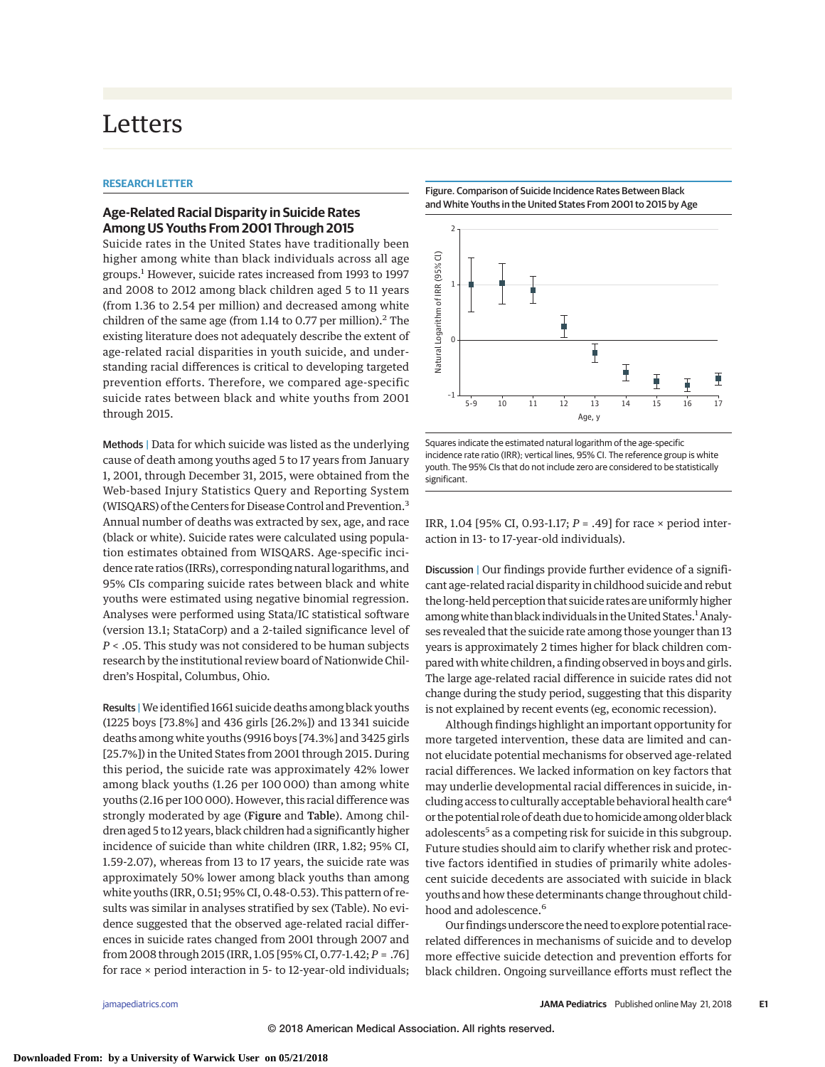## Letters

## **RESEARCH LETTER**

## **Age-Related Racial Disparity in Suicide Rates Among US Youths From 2001 Through 2015**

Suicide rates in the United States have traditionally been higher among white than black individuals across all age groups.1 However, suicide rates increased from 1993 to 1997 and 2008 to 2012 among black children aged 5 to 11 years (from 1.36 to 2.54 per million) and decreased among white children of the same age (from 1.14 to 0.77 per million).<sup>2</sup> The existing literature does not adequately describe the extent of age-related racial disparities in youth suicide, and understanding racial differences is critical to developing targeted prevention efforts. Therefore, we compared age-specific suicide rates between black and white youths from 2001 through 2015.

Methods | Data for which suicide was listed as the underlying cause of death among youths aged 5 to 17 years from January 1, 2001, through December 31, 2015, were obtained from the Web-based Injury Statistics Query and Reporting System (WISQARS) of the Centers for Disease Control and Prevention.3 Annual number of deaths was extracted by sex, age, and race (black or white). Suicide rates were calculated using population estimates obtained from WISQARS. Age-specific incidence rate ratios (IRRs), corresponding natural logarithms, and 95% CIs comparing suicide rates between black and white youths were estimated using negative binomial regression. Analyses were performed using Stata/IC statistical software (version 13.1; StataCorp) and a 2-tailed significance level of *P* < .05. This study was not considered to be human subjects research by the institutional review board of Nationwide Children's Hospital, Columbus, Ohio.

Results |We identified 1661 suicide deaths among black youths (1225 boys [73.8%] and 436 girls [26.2%]) and 13 341 suicide deaths among white youths (9916 boys [74.3%] and 3425 girls [25.7%]) in the United States from 2001 through 2015. During this period, the suicide rate was approximately 42% lower among black youths (1.26 per 100 000) than among white youths (2.16 per 100 000). However, this racial difference was strongly moderated by age (Figure and Table). Among children aged 5 to 12 years, black children had a significantly higher incidence of suicide than white children (IRR, 1.82; 95% CI, 1.59-2.07), whereas from 13 to 17 years, the suicide rate was approximately 50% lower among black youths than among white youths (IRR, 0.51; 95% CI, 0.48-0.53). This pattern of results was similar in analyses stratified by sex (Table). No evidence suggested that the observed age-related racial differences in suicide rates changed from 2001 through 2007 and from 2008 through 2015 (IRR, 1.05 [95% CI, 0.77-1.42; *P* = .76] for race × period interaction in 5- to 12-year-old individuals;

Figure. Comparison of Suicide Incidence Rates Between Black and White Youths in the United States From 2001 to 2015 by Age



Squares indicate the estimated natural logarithm of the age-specific incidence rate ratio (IRR); vertical lines, 95% CI. The reference group is white youth. The 95% CIs that do not include zero are considered to be statistically significant.

IRR, 1.04 [95% CI, 0.93-1.17; *P* = .49] for race × period interaction in 13- to 17-year-old individuals).

Discussion | Our findings provide further evidence of a significant age-related racial disparity in childhood suicide and rebut the long-held perception that suicide rates are uniformly higher among white than black individuals in the United States.<sup>1</sup> Analyses revealed that the suicide rate among those younger than 13 years is approximately 2 times higher for black children compared with white children, a finding observed in boys and girls. The large age-related racial difference in suicide rates did not change during the study period, suggesting that this disparity is not explained by recent events (eg, economic recession).

Although findings highlight an important opportunity for more targeted intervention, these data are limited and cannot elucidate potential mechanisms for observed age-related racial differences. We lacked information on key factors that may underlie developmental racial differences in suicide, including access to culturally acceptable behavioral health care<sup>4</sup> or the potential role of death due to homicide among older black adolescents<sup>5</sup> as a competing risk for suicide in this subgroup. Future studies should aim to clarify whether risk and protective factors identified in studies of primarily white adolescent suicide decedents are associated with suicide in black youths and how these determinants change throughout childhood and adolescence.<sup>6</sup>

Our findings underscore the need to explore potential racerelated differences in mechanisms of suicide and to develop more effective suicide detection and prevention efforts for black children. Ongoing surveillance efforts must reflect the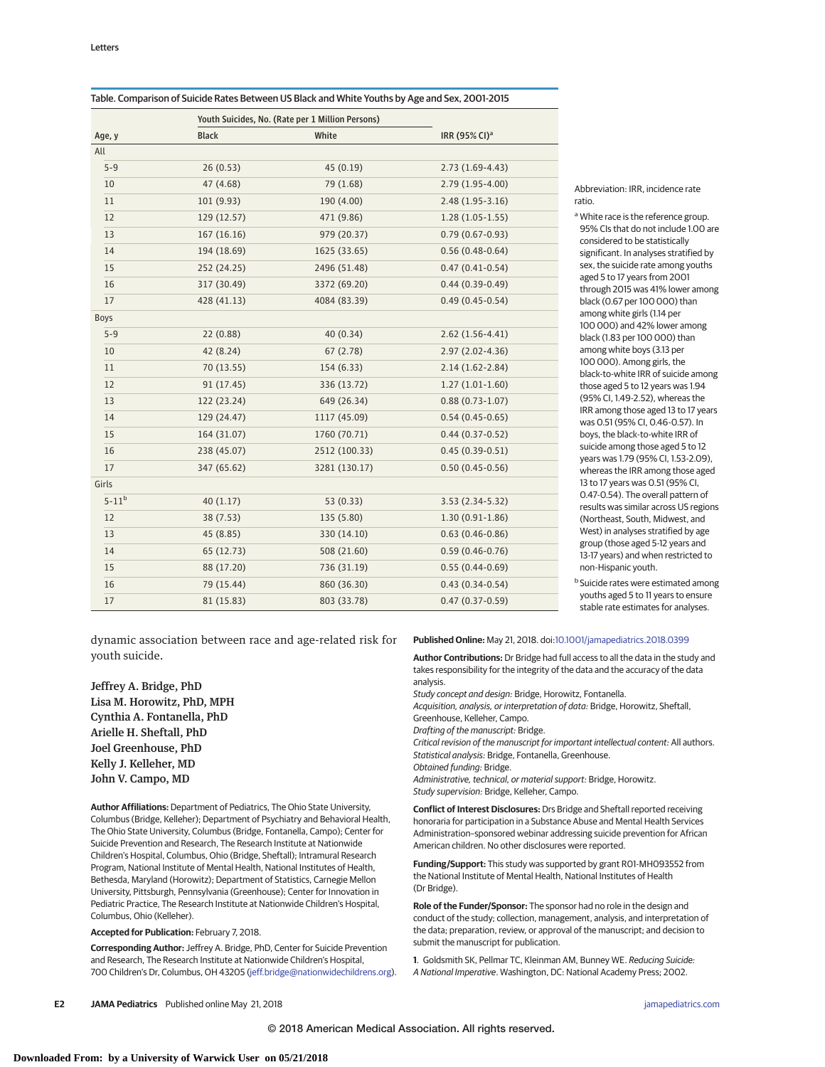|             | iable. Comparison or Suicide Rates between 03 black and Writte-Touths by Age and Sex, 2001-2015<br>Youth Suicides, No. (Rate per 1 Million Persons) |               |                           |
|-------------|-----------------------------------------------------------------------------------------------------------------------------------------------------|---------------|---------------------------|
| Age, y      | <b>Black</b>                                                                                                                                        | White         | IRR (95% CI) <sup>a</sup> |
| All         |                                                                                                                                                     |               |                           |
| $5 - 9$     | 26(0.53)                                                                                                                                            | 45(0.19)      | $2.73(1.69-4.43)$         |
| 10          | 47 (4.68)                                                                                                                                           | 79 (1.68)     | $2.79(1.95-4.00)$         |
| 11          | 101(9.93)                                                                                                                                           | 190 (4.00)    | $2.48(1.95-3.16)$         |
| 12          | 129 (12.57)                                                                                                                                         | 471 (9.86)    | $1.28(1.05-1.55)$         |
| 13          | 167 (16.16)                                                                                                                                         | 979 (20.37)   | $0.79(0.67 - 0.93)$       |
| 14          | 194 (18.69)                                                                                                                                         | 1625 (33.65)  | $0.56(0.48-0.64)$         |
| 15          | 252 (24.25)                                                                                                                                         | 2496 (51.48)  | $0.47(0.41-0.54)$         |
| 16          | 317 (30.49)                                                                                                                                         | 3372 (69.20)  | $0.44(0.39-0.49)$         |
| 17          | 428 (41.13)                                                                                                                                         | 4084 (83.39)  | $0.49(0.45-0.54)$         |
| <b>Boys</b> |                                                                                                                                                     |               |                           |
| $5 - 9$     | 22 (0.88)                                                                                                                                           | 40(0.34)      | $2.62(1.56-4.41)$         |
| 10          | 42 (8.24)                                                                                                                                           | 67(2.78)      | $2.97(2.02 - 4.36)$       |
| 11          | 70 (13.55)                                                                                                                                          | 154 (6.33)    | $2.14(1.62 - 2.84)$       |
| 12          | 91 (17.45)                                                                                                                                          | 336 (13.72)   | $1.27(1.01-1.60)$         |
| 13          | 122 (23.24)                                                                                                                                         | 649 (26.34)   | $0.88(0.73-1.07)$         |
| 14          | 129 (24.47)                                                                                                                                         | 1117 (45.09)  | $0.54(0.45-0.65)$         |
| 15          | 164 (31.07)                                                                                                                                         | 1760 (70.71)  | $0.44(0.37-0.52)$         |
| 16          | 238 (45.07)                                                                                                                                         | 2512 (100.33) | $0.45(0.39-0.51)$         |
| 17          | 347 (65.62)                                                                                                                                         | 3281 (130.17) | $0.50(0.45-0.56)$         |
| Girls       |                                                                                                                                                     |               |                           |
| $5 - 11b$   | 40(1.17)                                                                                                                                            | 53 (0.33)     | $3.53(2.34-5.32)$         |
| 12          | 38 (7.53)                                                                                                                                           | 135 (5.80)    | $1.30(0.91-1.86)$         |
| 13          | 45 (8.85)                                                                                                                                           | 330 (14.10)   | $0.63(0.46-0.86)$         |
| 14          | 65 (12.73)                                                                                                                                          | 508 (21.60)   | $0.59(0.46-0.76)$         |
| 15          | 88 (17.20)                                                                                                                                          | 736 (31.19)   | $0.55(0.44-0.69)$         |
| 16          | 79 (15.44)                                                                                                                                          | 860 (36.30)   | $0.43(0.34-0.54)$         |
| 17          | 81 (15.83)                                                                                                                                          | 803 (33.78)   | $0.47(0.37 - 0.59)$       |

Table. Comparison of Suicide Rates Between US Black and White Youths by Age and Sex, 2001-2015

dynamic association between race and age-related risk for youth suicide.

Jeffrey A. Bridge, PhD Lisa M. Horowitz, PhD, MPH Cynthia A. Fontanella, PhD Arielle H. Sheftall, PhD Joel Greenhouse, PhD Kelly J. Kelleher, MD John V. Campo, MD

**Author Affiliations:** Department of Pediatrics, The Ohio State University, Columbus (Bridge, Kelleher); Department of Psychiatry and Behavioral Health, The Ohio State University, Columbus (Bridge, Fontanella, Campo); Center for Suicide Prevention and Research, The Research Institute at Nationwide Children's Hospital, Columbus, Ohio (Bridge, Sheftall); Intramural Research Program, National Institute of Mental Health, National Institutes of Health, Bethesda, Maryland (Horowitz); Department of Statistics, Carnegie Mellon University, Pittsburgh, Pennsylvania (Greenhouse); Center for Innovation in Pediatric Practice, The Research Institute at Nationwide Children's Hospital, Columbus, Ohio (Kelleher).

## **Accepted for Publication:** February 7, 2018.

**Corresponding Author:** Jeffrey A. Bridge, PhD, Center for Suicide Prevention and Research, The Research Institute at Nationwide Children's Hospital, 700 Children's Dr, Columbus, OH 43205 [\(jeff.bridge@nationwidechildrens.org\)](mailto:jeff.bridge@nationwidechildrens.org). **Published Online:** May 21, 2018. doi[:10.1001/jamapediatrics.2018.0399](https://jama.jamanetwork.com/article.aspx?doi=10.1001/jamapediatrics.2018.0399&utm_campaign=articlePDF%26utm_medium=articlePDFlink%26utm_source=articlePDF%26utm_content=jamapediatrics.2018.0399)

**Author Contributions:** Dr Bridge had full access to all the data in the study and takes responsibility for the integrity of the data and the accuracy of the data analysis.

non-Hispanic youth.

**b** Suicide rates were estimated among youths aged 5 to 11 years to ensure stable rate estimates for analyses.

Abbreviation: IRR, incidence rate

a White race is the reference group. 95% CIs that do not include 1.00 are considered to be statistically significant. In analyses stratified by sex, the suicide rate among youths aged 5 to 17 years from 2001 through 2015 was 41% lower among black (0.67 per 100 000) than among white girls (1.14 per 100 000) and 42% lower among black (1.83 per 100 000) than among white boys (3.13 per 100 000). Among girls, the black-to-white IRR of suicide among those aged 5 to 12 years was 1.94 (95% CI, 1.49-2.52), whereas the IRR among those aged 13 to 17 years was 0.51 (95% CI, 0.46-0.57). In boys, the black-to-white IRR of suicide among those aged 5 to 12 years was 1.79 (95% CI, 1.53-2.09), whereas the IRR among those aged 13 to 17 years was 0.51 (95% CI, 0.47-0.54). The overall pattern of results was similar across US regions (Northeast, South, Midwest, and West) in analyses stratified by age group (those aged 5-12 years and 13-17 years) and when restricted to

ratio.

Study concept and design: Bridge, Horowitz, Fontanella. Acquisition, analysis, or interpretation of data: Bridge, Horowitz, Sheftall,

Greenhouse, Kelleher, Campo.

Drafting of the manuscript: Bridge.

Critical revision of the manuscript for important intellectual content: All authors. Statistical analysis: Bridge, Fontanella, Greenhouse.

Obtained funding: Bridge.

Administrative, technical, or material support: Bridge, Horowitz. Study supervision: Bridge, Kelleher, Campo.

**Conflict of Interest Disclosures:** Drs Bridge and Sheftall reported receiving honoraria for participation in a Substance Abuse and Mental Health Services Administration–sponsored webinar addressing suicide prevention for African American children. No other disclosures were reported.

**Funding/Support:** This study was supported by grant R01-MH093552 from the National Institute of Mental Health, National Institutes of Health (Dr Bridge).

**Role of the Funder/Sponsor:** The sponsor had no role in the design and conduct of the study; collection, management, analysis, and interpretation of the data; preparation, review, or approval of the manuscript; and decision to submit the manuscript for publication.

**1**. Goldsmith SK, Pellmar TC, Kleinman AM, Bunney WE. Reducing Suicide: A National Imperative. Washington, DC: National Academy Press; 2002.